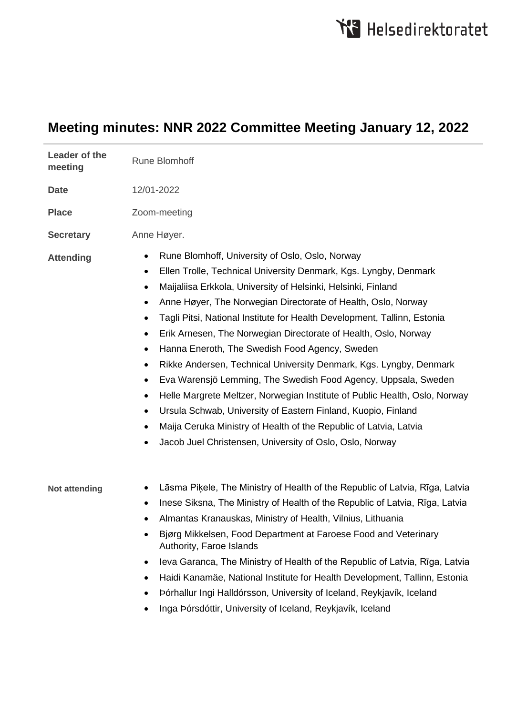## **Meeting minutes: NNR 2022 Committee Meeting January 12, 2022**

| Leader of the<br>meeting | <b>Rune Blomhoff</b>                                                                                                                                                                                                                                                                                                                                                                                                                                                                                                                                                                                                                                                                                                                                                                                                                                                                                                                                                                                                       |
|--------------------------|----------------------------------------------------------------------------------------------------------------------------------------------------------------------------------------------------------------------------------------------------------------------------------------------------------------------------------------------------------------------------------------------------------------------------------------------------------------------------------------------------------------------------------------------------------------------------------------------------------------------------------------------------------------------------------------------------------------------------------------------------------------------------------------------------------------------------------------------------------------------------------------------------------------------------------------------------------------------------------------------------------------------------|
| <b>Date</b>              | 12/01-2022                                                                                                                                                                                                                                                                                                                                                                                                                                                                                                                                                                                                                                                                                                                                                                                                                                                                                                                                                                                                                 |
| <b>Place</b>             | Zoom-meeting                                                                                                                                                                                                                                                                                                                                                                                                                                                                                                                                                                                                                                                                                                                                                                                                                                                                                                                                                                                                               |
| <b>Secretary</b>         | Anne Høyer.                                                                                                                                                                                                                                                                                                                                                                                                                                                                                                                                                                                                                                                                                                                                                                                                                                                                                                                                                                                                                |
| <b>Attending</b>         | Rune Blomhoff, University of Oslo, Oslo, Norway<br>٠<br>Ellen Trolle, Technical University Denmark, Kgs. Lyngby, Denmark<br>$\bullet$<br>Maijaliisa Erkkola, University of Helsinki, Helsinki, Finland<br>$\bullet$<br>Anne Høyer, The Norwegian Directorate of Health, Oslo, Norway<br>$\bullet$<br>Tagli Pitsi, National Institute for Health Development, Tallinn, Estonia<br>$\bullet$<br>Erik Arnesen, The Norwegian Directorate of Health, Oslo, Norway<br>$\bullet$<br>Hanna Eneroth, The Swedish Food Agency, Sweden<br>$\bullet$<br>Rikke Andersen, Technical University Denmark, Kgs. Lyngby, Denmark<br>$\bullet$<br>Eva Warensjö Lemming, The Swedish Food Agency, Uppsala, Sweden<br>$\bullet$<br>Helle Margrete Meltzer, Norwegian Institute of Public Health, Oslo, Norway<br>$\bullet$<br>Ursula Schwab, University of Eastern Finland, Kuopio, Finland<br>$\bullet$<br>Maija Ceruka Ministry of Health of the Republic of Latvia, Latvia<br>٠<br>Jacob Juel Christensen, University of Oslo, Oslo, Norway |
| <b>Not attending</b>     | Lāsma Piķele, The Ministry of Health of the Republic of Latvia, Rīga, Latvia<br>Inese Siksna, The Ministry of Health of the Republic of Latvia, Rīga, Latvia<br>٠<br>Almantas Kranauskas, Ministry of Health, Vilnius, Lithuania<br>٠<br>Bjørg Mikkelsen, Food Department at Faroese Food and Veterinary<br>Authority, Faroe Islands<br>Ieva Garanca, The Ministry of Health of the Republic of Latvia, Rīga, Latvia<br>$\bullet$<br>Haidi Kanamäe, National Institute for Health Development, Tallinn, Estonia<br>$\bullet$<br>Þórhallur Ingi Halldórsson, University of Iceland, Reykjavík, Iceland<br>٠<br>Inga Þórsdóttir, University of Iceland, Reykjavík, Iceland<br>٠                                                                                                                                                                                                                                                                                                                                              |